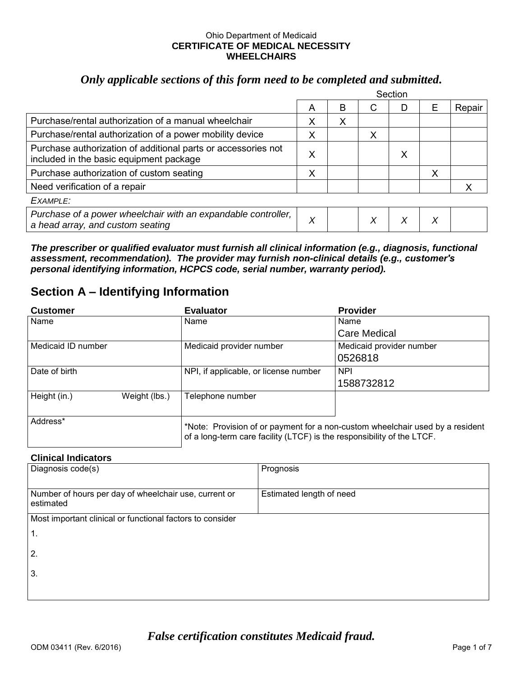#### Ohio Department of Medicaid **CERTIFICATE OF MEDICAL NECESSITY WHEELCHAIRS**

#### *Only applicable sections of this form need to be completed and submitted.*

|                                                                                                          | Section |   |   |   |   |        |
|----------------------------------------------------------------------------------------------------------|---------|---|---|---|---|--------|
|                                                                                                          | A       | в | С |   | Е | Repair |
| Purchase/rental authorization of a manual wheelchair                                                     | X       | х |   |   |   |        |
| Purchase/rental authorization of a power mobility device                                                 | X       |   | X |   |   |        |
| Purchase authorization of additional parts or accessories not<br>included in the basic equipment package | X       |   |   | Х |   |        |
| Purchase authorization of custom seating                                                                 | X       |   |   |   | Х |        |
| Need verification of a repair                                                                            |         |   |   |   |   |        |
| EXAMPI F:                                                                                                |         |   |   |   |   |        |
| Purchase of a power wheelchair with an expandable controller,<br>a head array, and custom seating        | Χ       |   | X |   | Х |        |

*The prescriber or qualified evaluator must furnish all clinical information (e.g., diagnosis, functional assessment, recommendation). The provider may furnish non-clinical details (e.g., customer's personal identifying information, HCPCS code, serial number, warranty period).* 

### **Section A – Identifying Information**

| <b>Customer</b>    |               | <b>Evaluator</b>                                                       | <b>Provider</b>                                                               |
|--------------------|---------------|------------------------------------------------------------------------|-------------------------------------------------------------------------------|
| Name               |               | Name                                                                   | Name                                                                          |
|                    |               |                                                                        | <b>Care Medical</b>                                                           |
| Medicaid ID number |               | Medicaid provider number                                               | Medicaid provider number                                                      |
|                    |               |                                                                        | 0526818                                                                       |
| Date of birth      |               | NPI, if applicable, or license number                                  | <b>NPI</b>                                                                    |
|                    |               |                                                                        | 1588732812                                                                    |
| Height (in.)       | Weight (lbs.) | Telephone number                                                       |                                                                               |
| Address*           |               | of a long-term care facility (LTCF) is the responsibility of the LTCF. | *Note: Provision of or payment for a non-custom wheelchair used by a resident |

#### **Clinical Indicators**

| Diagnosis code(s)                                                  | Prognosis                |
|--------------------------------------------------------------------|--------------------------|
| Number of hours per day of wheelchair use, current or<br>estimated | Estimated length of need |
| Most important clinical or functional factors to consider          |                          |
| $\overline{1}$ .                                                   |                          |
| 2.                                                                 |                          |
| 3.                                                                 |                          |
|                                                                    |                          |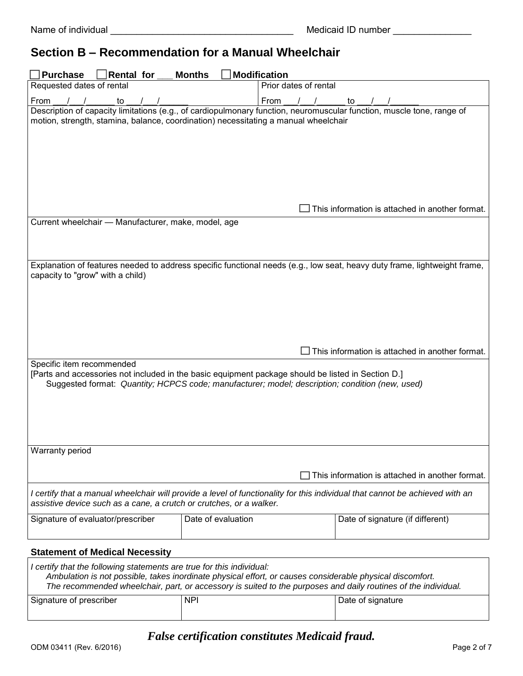### **Section B – Recommendation for a Manual Wheelchair**

| <b>Purchase</b><br>Rental for                                                                                                                                                                                                      | <b>Months</b>      | Modification          |                                                 |
|------------------------------------------------------------------------------------------------------------------------------------------------------------------------------------------------------------------------------------|--------------------|-----------------------|-------------------------------------------------|
| Requested dates of rental                                                                                                                                                                                                          |                    | Prior dates of rental |                                                 |
| From<br>to<br>$\sqrt{1}$                                                                                                                                                                                                           |                    | From                  | to $\sqrt{2}$                                   |
| Description of capacity limitations (e.g., of cardiopulmonary function, neuromuscular function, muscle tone, range of<br>motion, strength, stamina, balance, coordination) necessitating a manual wheelchair                       |                    |                       |                                                 |
|                                                                                                                                                                                                                                    |                    |                       | This information is attached in another format. |
| Current wheelchair - Manufacturer, make, model, age                                                                                                                                                                                |                    |                       |                                                 |
| Explanation of features needed to address specific functional needs (e.g., low seat, heavy duty frame, lightweight frame,<br>capacity to "grow" with a child)                                                                      |                    |                       |                                                 |
|                                                                                                                                                                                                                                    |                    |                       | This information is attached in another format. |
| Specific item recommended<br>[Parts and accessories not included in the basic equipment package should be listed in Section D.]<br>Suggested format: Quantity; HCPCS code; manufacturer; model; description; condition (new, used) |                    |                       |                                                 |
| Warranty period                                                                                                                                                                                                                    |                    |                       |                                                 |
|                                                                                                                                                                                                                                    |                    |                       | This information is attached in another format. |
| I certify that a manual wheelchair will provide a level of functionality for this individual that cannot be achieved with an<br>assistive device such as a cane, a crutch or crutches, or a walker.                                |                    |                       |                                                 |
| Signature of evaluator/prescriber                                                                                                                                                                                                  | Date of evaluation |                       | Date of signature (if different)                |
| <b>Statement of Medical Necessity</b>                                                                                                                                                                                              |                    |                       |                                                 |
| I certify that the following statements are true for this individual:                                                                                                                                                              |                    |                       |                                                 |

| Signature of prescriber | <b>NPI</b> | Date of signature |
|-------------------------|------------|-------------------|
|                         |            |                   |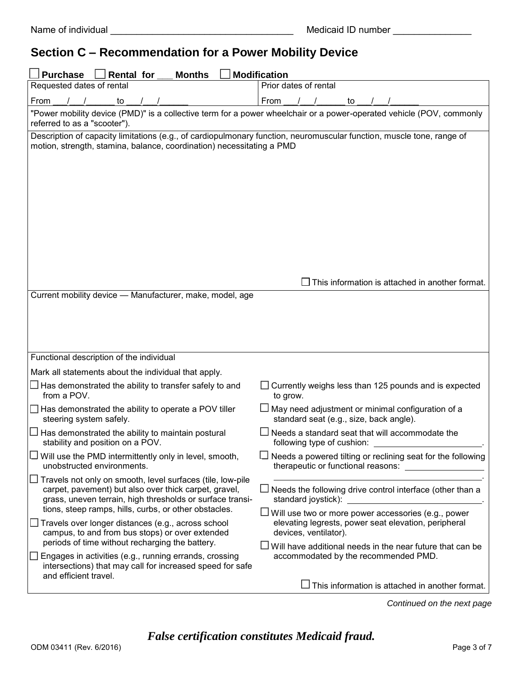## **Section C – Recommendation for a Power Mobility Device**

| <b>Purchase</b><br><b>Rental for</b><br><b>Modification</b><br><b>Months</b>                                                                                                                                                                     |                                                                                                                                                   |  |  |  |
|--------------------------------------------------------------------------------------------------------------------------------------------------------------------------------------------------------------------------------------------------|---------------------------------------------------------------------------------------------------------------------------------------------------|--|--|--|
| Requested dates of rental                                                                                                                                                                                                                        | Prior dates of rental                                                                                                                             |  |  |  |
| From<br>to                                                                                                                                                                                                                                       | From<br>to                                                                                                                                        |  |  |  |
| referred to as a "scooter").                                                                                                                                                                                                                     | "Power mobility device (PMD)" is a collective term for a power wheelchair or a power-operated vehicle (POV, commonly                              |  |  |  |
| Description of capacity limitations (e.g., of cardiopulmonary function, neuromuscular function, muscle tone, range of<br>motion, strength, stamina, balance, coordination) necessitating a PMD                                                   |                                                                                                                                                   |  |  |  |
| Current mobility device - Manufacturer, make, model, age                                                                                                                                                                                         | $\Box$ This information is attached in another format.                                                                                            |  |  |  |
|                                                                                                                                                                                                                                                  |                                                                                                                                                   |  |  |  |
| Functional description of the individual                                                                                                                                                                                                         |                                                                                                                                                   |  |  |  |
| Mark all statements about the individual that apply.                                                                                                                                                                                             |                                                                                                                                                   |  |  |  |
| $\Box$ Has demonstrated the ability to transfer safely to and<br>from a POV.                                                                                                                                                                     | Currently weighs less than 125 pounds and is expected<br>to grow.                                                                                 |  |  |  |
| $\Box$ Has demonstrated the ability to operate a POV tiller<br>steering system safely.                                                                                                                                                           | $\Box$ May need adjustment or minimal configuration of a<br>standard seat (e.g., size, back angle).                                               |  |  |  |
| Has demonstrated the ability to maintain postural<br>stability and position on a POV.                                                                                                                                                            | Needs a standard seat that will accommodate the<br>following type of cushion:                                                                     |  |  |  |
| $\Box$ Will use the PMD intermittently only in level, smooth,<br>unobstructed environments.                                                                                                                                                      | $\Box$ Needs a powered tilting or reclining seat for the following<br>therapeutic or functional reasons:                                          |  |  |  |
| $\Box$ Travels not only on smooth, level surfaces (tile, low-pile<br>carpet, pavement) but also over thick carpet, gravel,<br>grass, uneven terrain, high thresholds or surface transi-<br>tions, steep ramps, hills, curbs, or other obstacles. | $\Box$ Needs the following drive control interface (other than a<br>U Will use two or more power accessories (e.g., power                         |  |  |  |
| $\Box$ Travels over longer distances (e.g., across school<br>campus, to and from bus stops) or over extended<br>periods of time without recharging the battery.                                                                                  | elevating legrests, power seat elevation, peripheral<br>devices, ventilator).<br>$\Box$ Will have additional needs in the near future that can be |  |  |  |
| Engages in activities (e.g., running errands, crossing<br>intersections) that may call for increased speed for safe<br>and efficient travel.                                                                                                     | accommodated by the recommended PMD.                                                                                                              |  |  |  |
|                                                                                                                                                                                                                                                  | This information is attached in another format.                                                                                                   |  |  |  |

*Continued on the next page*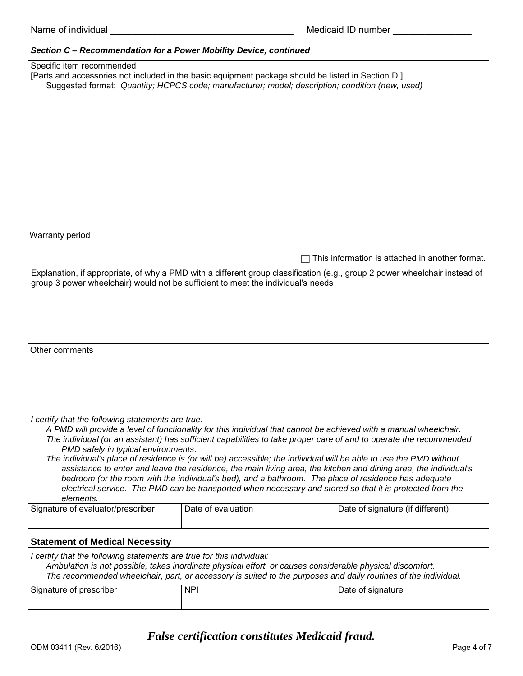#### *Section C – Recommendation for a Power Mobility Device, continued*

| Specific item recommended                                             |                                                                                                                            |                                                 |
|-----------------------------------------------------------------------|----------------------------------------------------------------------------------------------------------------------------|-------------------------------------------------|
|                                                                       | [Parts and accessories not included in the basic equipment package should be listed in Section D.]                         |                                                 |
|                                                                       | Suggested format: Quantity; HCPCS code; manufacturer; model; description; condition (new, used)                            |                                                 |
|                                                                       |                                                                                                                            |                                                 |
|                                                                       |                                                                                                                            |                                                 |
|                                                                       |                                                                                                                            |                                                 |
|                                                                       |                                                                                                                            |                                                 |
|                                                                       |                                                                                                                            |                                                 |
|                                                                       |                                                                                                                            |                                                 |
|                                                                       |                                                                                                                            |                                                 |
|                                                                       |                                                                                                                            |                                                 |
|                                                                       |                                                                                                                            |                                                 |
|                                                                       |                                                                                                                            |                                                 |
|                                                                       |                                                                                                                            |                                                 |
|                                                                       |                                                                                                                            |                                                 |
|                                                                       |                                                                                                                            |                                                 |
|                                                                       |                                                                                                                            |                                                 |
|                                                                       |                                                                                                                            |                                                 |
|                                                                       |                                                                                                                            |                                                 |
| Warranty period                                                       |                                                                                                                            |                                                 |
|                                                                       |                                                                                                                            |                                                 |
|                                                                       |                                                                                                                            | This information is attached in another format. |
|                                                                       |                                                                                                                            |                                                 |
|                                                                       | Explanation, if appropriate, of why a PMD with a different group classification (e.g., group 2 power wheelchair instead of |                                                 |
|                                                                       | group 3 power wheelchair) would not be sufficient to meet the individual's needs                                           |                                                 |
|                                                                       |                                                                                                                            |                                                 |
|                                                                       |                                                                                                                            |                                                 |
|                                                                       |                                                                                                                            |                                                 |
|                                                                       |                                                                                                                            |                                                 |
|                                                                       |                                                                                                                            |                                                 |
|                                                                       |                                                                                                                            |                                                 |
| Other comments                                                        |                                                                                                                            |                                                 |
|                                                                       |                                                                                                                            |                                                 |
|                                                                       |                                                                                                                            |                                                 |
|                                                                       |                                                                                                                            |                                                 |
|                                                                       |                                                                                                                            |                                                 |
|                                                                       |                                                                                                                            |                                                 |
|                                                                       |                                                                                                                            |                                                 |
|                                                                       |                                                                                                                            |                                                 |
| I certify that the following statements are true:                     |                                                                                                                            |                                                 |
|                                                                       |                                                                                                                            |                                                 |
|                                                                       | A PMD will provide a level of functionality for this individual that cannot be achieved with a manual wheelchair.          |                                                 |
|                                                                       | The individual (or an assistant) has sufficient capabilities to take proper care of and to operate the recommended         |                                                 |
| PMD safely in typical environments.                                   |                                                                                                                            |                                                 |
|                                                                       | The individual's place of residence is (or will be) accessible; the individual will be able to use the PMD without         |                                                 |
|                                                                       | assistance to enter and leave the residence, the main living area, the kitchen and dining area, the individual's           |                                                 |
|                                                                       | bedroom (or the room with the individual's bed), and a bathroom. The place of residence has adequate                       |                                                 |
|                                                                       | electrical service. The PMD can be transported when necessary and stored so that it is protected from the                  |                                                 |
|                                                                       |                                                                                                                            |                                                 |
| elements.                                                             |                                                                                                                            |                                                 |
| Signature of evaluator/prescriber                                     | Date of evaluation                                                                                                         | Date of signature (if different)                |
|                                                                       |                                                                                                                            |                                                 |
|                                                                       |                                                                                                                            |                                                 |
|                                                                       |                                                                                                                            |                                                 |
| <b>Statement of Medical Necessity</b>                                 |                                                                                                                            |                                                 |
| I certify that the following statements are true for this individual: |                                                                                                                            |                                                 |

| i ceniny that the following statements are that for this individual.                                           |            |                   |  |  |
|----------------------------------------------------------------------------------------------------------------|------------|-------------------|--|--|
| Ambulation is not possible, takes inordinate physical effort, or causes considerable physical discomfort.      |            |                   |  |  |
| The recommended wheelchair, part, or accessory is suited to the purposes and daily routines of the individual. |            |                   |  |  |
| Signature of prescriber                                                                                        | <b>NPI</b> | Date of signature |  |  |
|                                                                                                                |            |                   |  |  |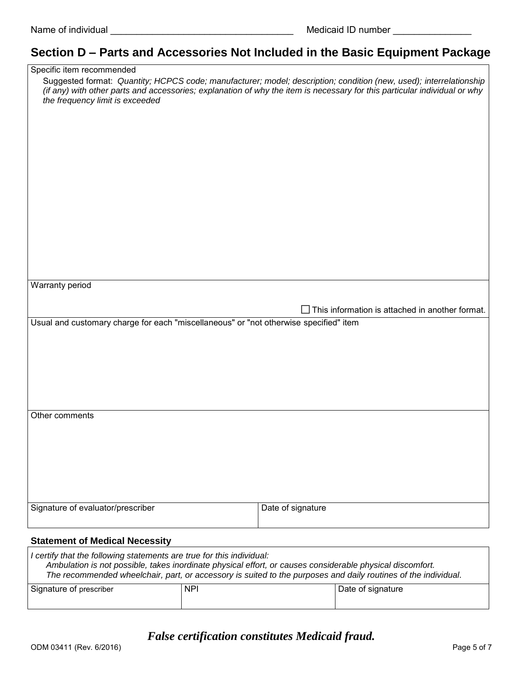# **Section D – Parts and Accessories Not Included in the Basic Equipment Package**

| Specific item recommended                                                             |                                                                                                                                                                                                                                                 |
|---------------------------------------------------------------------------------------|-------------------------------------------------------------------------------------------------------------------------------------------------------------------------------------------------------------------------------------------------|
|                                                                                       | Suggested format: Quantity; HCPCS code; manufacturer; model; description; condition (new, used); interrelationship<br>(if any) with other parts and accessories; explanation of why the item is necessary for this particular individual or why |
| the frequency limit is exceeded                                                       |                                                                                                                                                                                                                                                 |
|                                                                                       |                                                                                                                                                                                                                                                 |
|                                                                                       |                                                                                                                                                                                                                                                 |
|                                                                                       |                                                                                                                                                                                                                                                 |
|                                                                                       |                                                                                                                                                                                                                                                 |
|                                                                                       |                                                                                                                                                                                                                                                 |
|                                                                                       |                                                                                                                                                                                                                                                 |
|                                                                                       |                                                                                                                                                                                                                                                 |
|                                                                                       |                                                                                                                                                                                                                                                 |
|                                                                                       |                                                                                                                                                                                                                                                 |
| <b>Warranty period</b>                                                                |                                                                                                                                                                                                                                                 |
|                                                                                       |                                                                                                                                                                                                                                                 |
| Usual and customary charge for each "miscellaneous" or "not otherwise specified" item | $\Box$ This information is attached in another format.                                                                                                                                                                                          |
|                                                                                       |                                                                                                                                                                                                                                                 |
|                                                                                       |                                                                                                                                                                                                                                                 |
|                                                                                       |                                                                                                                                                                                                                                                 |
|                                                                                       |                                                                                                                                                                                                                                                 |
|                                                                                       |                                                                                                                                                                                                                                                 |
| Other comments                                                                        |                                                                                                                                                                                                                                                 |
|                                                                                       |                                                                                                                                                                                                                                                 |
|                                                                                       |                                                                                                                                                                                                                                                 |
|                                                                                       |                                                                                                                                                                                                                                                 |
|                                                                                       |                                                                                                                                                                                                                                                 |
| Signature of evaluator/prescriber                                                     | Date of signature                                                                                                                                                                                                                               |
|                                                                                       |                                                                                                                                                                                                                                                 |
| <b>Statement of Medical Necessity</b>                                                 |                                                                                                                                                                                                                                                 |

| I certify that the following statements are true for this individual:                                          |            |                   |  |
|----------------------------------------------------------------------------------------------------------------|------------|-------------------|--|
| Ambulation is not possible, takes inordinate physical effort, or causes considerable physical discomfort.      |            |                   |  |
| The recommended wheelchair, part, or accessory is suited to the purposes and daily routines of the individual. |            |                   |  |
| Signature of prescriber                                                                                        | <b>NPI</b> | Date of signature |  |
|                                                                                                                |            |                   |  |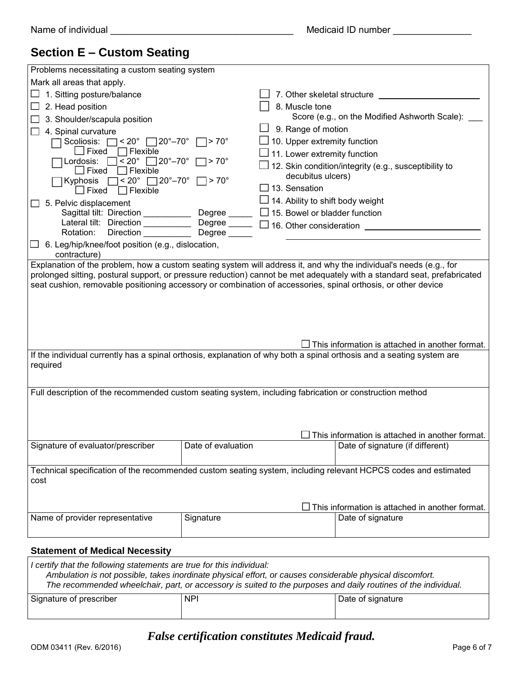## **Section E – Custom Seating**

| Problems necessitating a custom seating system                                                                           |                             |                                         |                                                        |
|--------------------------------------------------------------------------------------------------------------------------|-----------------------------|-----------------------------------------|--------------------------------------------------------|
| Mark all areas that apply.                                                                                               |                             |                                         |                                                        |
| 1. Sitting posture/balance                                                                                               |                             | 7. Other skeletal structure             |                                                        |
| 2. Head position                                                                                                         |                             | 8. Muscle tone                          |                                                        |
| 3. Shoulder/scapula position                                                                                             |                             |                                         | Score (e.g., on the Modified Ashworth Scale):          |
| 4. Spinal curvature                                                                                                      |                             | 9. Range of motion                      |                                                        |
| $\vert$ < 20 $^{\circ}$ $\Box$ 20 $^{\circ}$ –70 $^{\circ}$<br>Scoliosis: [                                              | $\Box$ > 70 $^{\circ}$      | 10. Upper extremity function            |                                                        |
| ∫Fixed<br>Flexible                                                                                                       |                             | 11. Lower extremity function            |                                                        |
| $< 20^{\circ}$<br>Lordosis:<br>Flexible<br>$\Box$ Fixed                                                                  | $\Box$ 20°–70° $\Box$ > 70° |                                         | 12. Skin condition/integrity (e.g., susceptibility to  |
| $< 20^\circ$ 20° −70° $\Box$ > 70°<br>Kyphosis                                                                           |                             | decubitus ulcers)                       |                                                        |
| $\Box$ Flexible<br>$\Box$ Fixed                                                                                          |                             | $\Box$ 13. Sensation                    |                                                        |
| 5. Pelvic displacement                                                                                                   |                             | $\Box$ 14. Ability to shift body weight |                                                        |
| Sagittal tilt: Direction _____________ Degree _____                                                                      |                             | $\Box$ 15. Bowel or bladder function    |                                                        |
| Lateral tilt: Direction <u>Degree</u> Degree <u>Degree</u> 16. Other consideration ____                                  |                             |                                         |                                                        |
| Rotation:<br><b>Direction</b>                                                                                            | Degree                      |                                         |                                                        |
| 6. Leg/hip/knee/foot position (e.g., dislocation,<br>contracture)                                                        |                             |                                         |                                                        |
| Explanation of the problem, how a custom seating system will address it, and why the individual's needs (e.g., for       |                             |                                         |                                                        |
| prolonged sitting, postural support, or pressure reduction) cannot be met adequately with a standard seat, prefabricated |                             |                                         |                                                        |
| seat cushion, removable positioning accessory or combination of accessories, spinal orthosis, or other device            |                             |                                         |                                                        |
|                                                                                                                          |                             |                                         |                                                        |
|                                                                                                                          |                             |                                         |                                                        |
|                                                                                                                          |                             |                                         |                                                        |
|                                                                                                                          |                             |                                         |                                                        |
|                                                                                                                          |                             |                                         | J This information is attached in another format.      |
| If the individual currently has a spinal orthosis, explanation of why both a spinal orthosis and a seating system are    |                             |                                         |                                                        |
| required                                                                                                                 |                             |                                         |                                                        |
|                                                                                                                          |                             |                                         |                                                        |
| Full description of the recommended custom seating system, including fabrication or construction method                  |                             |                                         |                                                        |
|                                                                                                                          |                             |                                         |                                                        |
|                                                                                                                          |                             |                                         |                                                        |
|                                                                                                                          |                             |                                         |                                                        |
|                                                                                                                          |                             |                                         | This information is attached in another format.        |
| Signature of evaluator/prescriber                                                                                        | Date of evaluation          |                                         | Date of signature (if different)                       |
|                                                                                                                          |                             |                                         |                                                        |
| Technical specification of the recommended custom seating system, including relevant HCPCS codes and estimated           |                             |                                         |                                                        |
| cost                                                                                                                     |                             |                                         |                                                        |
|                                                                                                                          |                             |                                         |                                                        |
|                                                                                                                          |                             |                                         | $\Box$ This information is attached in another format. |
| Name of provider representative                                                                                          | Signature                   |                                         | Date of signature                                      |
|                                                                                                                          |                             |                                         |                                                        |
|                                                                                                                          |                             |                                         |                                                        |
| <b>Statement of Medical Necessity</b>                                                                                    |                             |                                         |                                                        |

| I certify that the following statements are true for this individual:                                          |  |
|----------------------------------------------------------------------------------------------------------------|--|
| Ambulation is not possible, takes inordinate physical effort, or causes considerable physical discomfort.      |  |
| The recommended wheelchair, part, or accessory is suited to the purposes and daily routines of the individual. |  |

| Signature of prescriber | <b>NPI</b> | Date of signature |
|-------------------------|------------|-------------------|
|                         |            |                   |